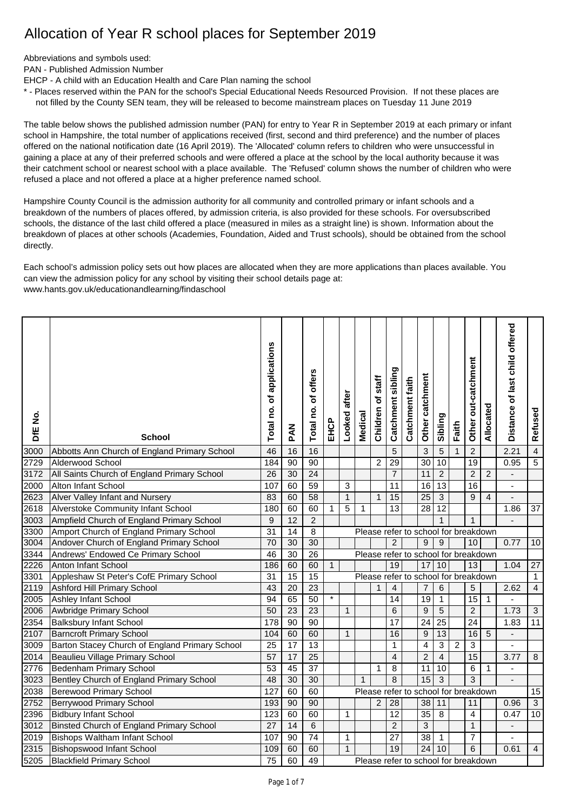## Allocation of Year R school places for September 2019

Abbreviations and symbols used:

PAN - Published Admission Number

EHCP - A child with an Education Health and Care Plan naming the school

\* - Places reserved within the PAN for the school's Special Educational Needs Resourced Provision. If not these places are not filled by the County SEN team, they will be released to become mainstream places on Tuesday 11 June 2019

The table below shows the published admission number (PAN) for entry to Year R in September 2019 at each primary or infant school in Hampshire, the total number of applications received (first, second and third preference) and the number of places offered on the national notification date (16 April 2019). The 'Allocated' column refers to children who were unsuccessful in gaining a place at any of their preferred schools and were offered a place at the school by the local authority because it was their catchment school or nearest school with a place available. The 'Refused' column shows the number of children who were refused a place and not offered a place at a higher preference named school.

Hampshire County Council is the admission authority for all community and controlled primary or infant schools and a breakdown of the numbers of places offered, by admission criteria, is also provided for these schools. For oversubscribed schools, the distance of the last child offered a place (measured in miles as a straight line) is shown. Information about the breakdown of places at other schools (Academies, Foundation, Aided and Trust schools), should be obtained from the school directly.

Each school's admission policy sets out how places are allocated when they are more applications than places available. You can view the admission policy for any school by visiting their school details page at: [www.hants.gov.uk/educationandlearning/findaschool](http://www.hants.gov.uk/educationandlearning/findaschool)

| DfE No. | <b>School</b>                                  | Total no. of applications | MAG             | offers<br>đ<br>Total no. | EHCP         | after<br>Looked | Medical     | staff<br>৳<br>Children | Catchment sibling                    | Catchment faith | catchment<br>Other | Sibling         | Faith        | Other out-catchment | Allocated      | Distance of last child offered | Refused         |
|---------|------------------------------------------------|---------------------------|-----------------|--------------------------|--------------|-----------------|-------------|------------------------|--------------------------------------|-----------------|--------------------|-----------------|--------------|---------------------|----------------|--------------------------------|-----------------|
| 3000    | Abbotts Ann Church of England Primary School   | 46                        | 16              | 16                       |              |                 |             |                        | 5                                    |                 | 3                  | 5               | $\mathbf{1}$ | $\overline{c}$      |                | 2.21                           | $\overline{4}$  |
| 2729    | Alderwood School                               | 184                       | 90              | 90                       |              |                 |             | $\overline{c}$         | 29                                   |                 | 30                 | 10              |              | 19                  |                | 0.95                           | 5               |
| 3172    | All Saints Church of England Primary School    | $\overline{26}$           | 30              | $\overline{24}$          |              |                 |             |                        | $\overline{7}$                       |                 | 11                 | $\overline{2}$  |              | $\overline{2}$      | $\overline{2}$ | $\blacksquare$                 |                 |
| 2000    | <b>Alton Infant School</b>                     | 107                       | 60              | 59                       |              | 3               |             |                        | 11                                   |                 | $\overline{16}$    | $\overline{13}$ |              | 16                  |                | $\blacksquare$                 |                 |
| 2623    | Alver Valley Infant and Nursery                | 83                        | 60              | 58                       |              | $\overline{1}$  |             | $\mathbf{1}$           | 15                                   |                 | 25                 | $\overline{3}$  |              | 9                   | 4              | $\overline{a}$                 |                 |
| 2618    | <b>Alverstoke Community Infant School</b>      | 180                       | 60              | 60                       | 1            | 5               | 1           |                        | 13                                   |                 | $\overline{28}$    | 12              |              |                     |                | 1.86                           | $\overline{37}$ |
| 3003    | Ampfield Church of England Primary School      | 9                         | 12              | $\overline{2}$           |              |                 |             |                        |                                      |                 |                    | $\mathbf{1}$    |              | $\mathbf{1}$        |                | $\overline{a}$                 |                 |
| 3300    | Amport Church of England Primary School        | $\overline{31}$           | $\overline{14}$ | $\overline{8}$           |              |                 |             |                        | Please refer to school for breakdown |                 |                    |                 |              |                     |                |                                |                 |
| 3004    | Andover Church of England Primary School       | 70                        | $\overline{30}$ | 30                       |              |                 |             |                        | $\overline{2}$                       |                 | 9                  | $\overline{9}$  |              | 10                  |                | 0.77                           | 10              |
| 3344    | Andrews' Endowed Ce Primary School             | 46                        | 30              | 26                       |              |                 |             |                        | Please refer to school for breakdown |                 |                    |                 |              |                     |                |                                |                 |
| 2226    | Anton Infant School                            | 186                       | 60              | 60                       | $\mathbf{1}$ |                 |             |                        | 19                                   |                 | 17                 | 10              |              | 13                  |                | 1.04                           | 27              |
| 3301    | Appleshaw St Peter's CofE Primary School       | 31                        | 15              | $\overline{15}$          |              |                 |             |                        | Please refer to school for breakdown |                 |                    |                 |              |                     |                |                                | $\mathbf{1}$    |
| 2119    | Ashford Hill Primary School                    | 43                        | 20              | $\overline{23}$          |              |                 |             |                        | 4                                    |                 | 7                  | 6               |              | 5                   |                | 2.62                           | $\overline{4}$  |
| 2005    | <b>Ashley Infant School</b>                    | 94                        | 65              | 50                       | $\star$      |                 |             |                        | 14                                   |                 | 19                 | $\mathbf{1}$    |              | $\overline{15}$     | $\mathbf{1}$   | $\blacksquare$                 |                 |
| 2006    | <b>Awbridge Primary School</b>                 | $\overline{50}$           | $\overline{23}$ | $\overline{23}$          |              | $\mathbf{1}$    |             |                        | 6                                    |                 | 9                  | 5               |              | $\overline{2}$      |                | 1.73                           | $\overline{3}$  |
| 2354    | <b>Balksbury Infant School</b>                 | 178                       | $\overline{90}$ | $\overline{90}$          |              |                 |             |                        | 17                                   |                 | 24                 | $\overline{25}$ |              | $\overline{24}$     |                | 1.83                           | 11              |
| 2107    | <b>Barncroft Primary School</b>                | 104                       | 60              | 60                       |              | $\mathbf{1}$    |             |                        | 16                                   |                 | 9                  | 13              |              | 16                  | 5              | $\overline{a}$                 |                 |
| 3009    | Barton Stacey Church of England Primary School | $\overline{25}$           | $\overline{17}$ | $\overline{13}$          |              |                 |             |                        | 1                                    |                 | 4                  | $\overline{3}$  | 2            | $\overline{3}$      |                |                                |                 |
| 2014    | Beaulieu Village Primary School                | $\overline{57}$           | 17              | $\overline{25}$          |              |                 |             |                        | $\overline{4}$                       |                 | $\overline{2}$     | $\overline{4}$  |              | 15                  |                | 3.77                           | 8               |
| 2776    | Bedenham Primary School                        | 53                        | $\overline{45}$ | $\overline{37}$          |              |                 |             | 1                      | 8                                    |                 | 11                 | 10              |              | 6                   | 1              | $\blacksquare$                 |                 |
| 3023    | Bentley Church of England Primary School       | 48                        | $\overline{30}$ | 30                       |              |                 | $\mathbf 1$ |                        | $\overline{8}$                       |                 | 15                 | $\overline{3}$  |              | $\overline{3}$      |                | $\overline{\phantom{a}}$       |                 |
| 2038    | <b>Berewood Primary School</b>                 | $\overline{127}$          | 60              | 60                       |              |                 |             |                        | Please refer to school for breakdown |                 |                    |                 |              |                     |                |                                | 15              |
| 2752    | <b>Berrywood Primary School</b>                | 193                       | 90              | 90                       |              |                 |             | $\mathbf 2$            | 28                                   |                 | 38                 | 11              |              | 11                  |                | 0.96                           | $\mathfrak{S}$  |
| 2396    | <b>Bidbury Infant School</b>                   | 123                       | 60              | 60                       |              | $\mathbf{1}$    |             |                        | 12                                   |                 | 35                 | 8               |              | $\overline{4}$      |                | 0.47                           | 10              |
| 3012    | Binsted Church of England Primary School       | $\overline{27}$           | 14              | $\overline{6}$           |              |                 |             |                        | $\overline{2}$                       |                 | 3                  |                 |              | $\mathbf{1}$        |                | $\blacksquare$                 |                 |
| 2019    | <b>Bishops Waltham Infant School</b>           | 107                       | 90              | 74                       |              | 1               |             |                        | 27                                   |                 | 38                 | $\mathbf{1}$    |              | $\overline{7}$      |                | $\overline{\phantom{a}}$       |                 |
| 2315    | <b>Bishopswood Infant School</b>               | 109                       | 60              | 60                       |              | $\mathbf{1}$    |             |                        | 19                                   |                 | 24                 | 10              |              | 6                   |                | 0.61                           | $\overline{4}$  |
| 5205    | <b>Blackfield Primary School</b>               | $\overline{75}$           | 60              | 49                       |              |                 |             |                        | Please refer to school for breakdown |                 |                    |                 |              |                     |                |                                |                 |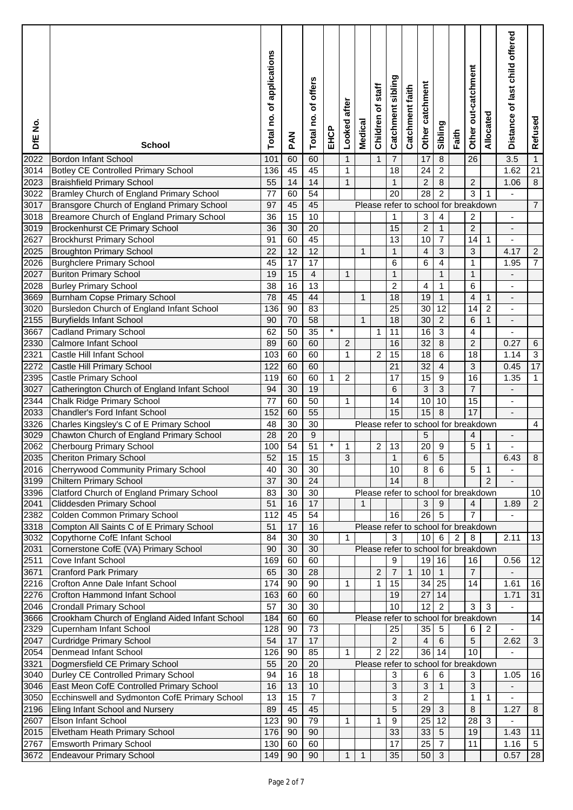| DfE No.      | <b>School</b>                                                                    | of applications<br>Total no. | <b>PAN</b>      | offers<br>ō<br>Total no. | EHCP    | after<br>Looked | <b>Medical</b> | staff<br>৳<br>Children | Catchment sibling    | Catchment faith | catchment<br>Other | Sibling                         | Faith          | Other out-catchment                       | Allocated                      | Distance of last child offered | Refused                   |
|--------------|----------------------------------------------------------------------------------|------------------------------|-----------------|--------------------------|---------|-----------------|----------------|------------------------|----------------------|-----------------|--------------------|---------------------------------|----------------|-------------------------------------------|--------------------------------|--------------------------------|---------------------------|
| 2022         | <b>Bordon Infant School</b>                                                      | 101                          | 60              | 60                       |         | $\mathbf{1}$    |                | $\mathbf{1}$           | 7                    |                 | 17                 | 8                               |                | 26                                        |                                | 3.5                            | $\mathbf{1}$              |
| 3014         | <b>Botley CE Controlled Primary School</b>                                       | 136                          | 45              | 45                       |         | 1               |                |                        | 18                   |                 | 24                 | $\overline{2}$                  |                |                                           |                                | 1.62                           | 21                        |
| 2023         | <b>Braishfield Primary School</b>                                                | 55                           | 14              | 14                       |         | $\mathbf{1}$    |                |                        | $\mathbf{1}$         |                 | $\overline{2}$     | 8                               |                | $\overline{c}$                            |                                | 1.06                           | 8                         |
| 3022         | Bramley Church of England Primary School                                         | 77                           | 60              | 54                       |         |                 |                |                        | 20                   |                 | 28                 | $\overline{c}$                  |                | 3                                         | 1                              | ä,                             |                           |
| 3017         | Bransgore Church of England Primary School                                       | 97                           | 45              | 45                       |         |                 |                |                        |                      |                 |                    |                                 |                | Please refer to school for breakdown      |                                |                                | $\overline{7}$            |
| 3018         | Breamore Church of England Primary School                                        | 36                           | 15              | 10                       |         |                 |                |                        | 1                    |                 | 3                  | $\overline{\mathbf{4}}$         |                | $\overline{c}$                            |                                | $\qquad \qquad \blacksquare$   |                           |
| 3019         | <b>Brockenhurst CE Primary School</b>                                            | 36                           | 30              | $\overline{20}$          |         |                 |                |                        | 15                   |                 | $\overline{c}$     | $\mathbf{1}$                    |                | $\overline{c}$                            |                                |                                |                           |
| 2627         | <b>Brockhurst Primary School</b>                                                 | 91                           | 60              | 45                       |         |                 |                |                        | 13                   |                 | 10                 | $\overline{7}$                  |                | 14                                        | 1                              |                                |                           |
| 2025         | <b>Broughton Primary School</b>                                                  | 22                           | $\overline{12}$ | $\overline{12}$          |         |                 | 1              |                        | $\mathbf{1}$         |                 | 4                  | 3                               |                | 3                                         |                                | 4.17                           | $\sqrt{2}$                |
| 2026         | <b>Burghclere Primary School</b>                                                 | 45                           | 17              | $\overline{17}$          |         |                 |                |                        | 6                    |                 | 6                  | $\overline{\mathbf{4}}$         |                | $\mathbf{1}$                              |                                | 1.95                           | $\overline{7}$            |
| 2027         | <b>Buriton Primary School</b>                                                    | 19                           | 15              | $\overline{\mathbf{4}}$  |         | $\mathbf{1}$    |                |                        | $\mathbf{1}$         |                 |                    | $\mathbf{1}$                    |                | $\mathbf{1}$                              |                                |                                |                           |
| 2028         | <b>Burley Primary School</b>                                                     | 38<br>78                     | 16              | $\overline{13}$<br>44    |         |                 |                |                        | $\overline{c}$<br>18 |                 | 4<br>19            | $\mathbf{1}$                    |                | 6                                         |                                |                                |                           |
| 3669<br>3020 | <b>Burnham Copse Primary School</b><br>Bursledon Church of England Infant School | 136                          | 45<br>90        | 83                       |         |                 | $\mathbf{1}$   |                        | 25                   |                 | 30                 | $\mathbf{1}$<br>$\overline{12}$ |                | 4<br>14                                   | $\mathbf{1}$<br>$\overline{c}$ |                                |                           |
| 2155         | <b>Buryfields Infant School</b>                                                  | 90                           | 70              | 58                       |         |                 | $\mathbf{1}$   |                        | 18                   |                 | 30                 | $\overline{2}$                  |                | 6                                         | $\mathbf{1}$                   |                                |                           |
| 3667         | <b>Cadland Primary School</b>                                                    | 62                           | 50              | $\overline{35}$          | $\star$ |                 |                | 1                      | 11                   |                 | 16                 | 3                               |                | 4                                         |                                |                                |                           |
| 2330         | Calmore Infant School                                                            | 89                           | 60              | 60                       |         | $\overline{c}$  |                |                        | 16                   |                 | 32                 | 8                               |                | $\overline{c}$                            |                                | 0.27                           | 6                         |
| 2321         | Castle Hill Infant School                                                        | 103                          | 60              | 60                       |         | 1               |                | $\overline{c}$         | 15                   |                 | 18                 | 6                               |                | 18                                        |                                | 1.14                           | $\ensuremath{\mathsf{3}}$ |
| 2272         | Castle Hill Primary School                                                       | 122                          | 60              | 60                       |         |                 |                |                        | 21                   |                 | 32                 | $\overline{\mathbf{4}}$         |                | 3                                         |                                | 0.45                           | 17                        |
| 2395         | Castle Primary School                                                            | 119                          | 60              | 60                       | 1       | $\overline{c}$  |                |                        | 17                   |                 | 15                 | 9                               |                | 16                                        |                                | 1.35                           | $\mathbf{1}$              |
| 3027         | Catherington Church of England Infant School                                     | 94                           | 30              | 19                       |         |                 |                |                        | 6                    |                 | 3                  | $\overline{3}$                  |                | $\overline{7}$                            |                                |                                |                           |
| 2344         | Chalk Ridge Primary School                                                       | 77                           | 60              | 50                       |         | 1               |                |                        | 14                   |                 | 10                 | 10                              |                | 15                                        |                                |                                |                           |
| 2033         | Chandler's Ford Infant School                                                    | 152                          | 60              | 55                       |         |                 |                |                        | 15                   |                 | 15                 | 8                               |                | 17                                        |                                |                                |                           |
| 3326         | Charles Kingsley's C of E Primary School                                         | 48                           | 30              | 30                       |         |                 |                |                        |                      |                 |                    |                                 |                | Please refer to school for breakdown      |                                |                                | 4                         |
| 3029         | Chawton Church of England Primary School                                         | 28                           | 20              | $\overline{9}$           |         |                 |                |                        |                      |                 | 5                  |                                 |                | 4                                         |                                |                                |                           |
| 2062         | <b>Cherbourg Primary School</b>                                                  | 100                          | $\overline{54}$ | $\overline{51}$          | $\star$ | $\mathbf{1}$    |                | $\overline{c}$         | 13                   |                 | 20                 | $\boldsymbol{9}$                |                | 5                                         | 1                              |                                |                           |
| 2035         | <b>Cheriton Primary School</b>                                                   | 52                           | 15              | 15                       |         | $\overline{3}$  |                |                        | 1                    |                 | 6                  | $\overline{5}$                  |                |                                           |                                | 6.43                           | $\overline{8}$            |
| 2016         | <b>Cherrywood Community Primary School</b>                                       | 40                           | 30              | 30                       |         |                 |                |                        | 10                   |                 | 8                  | 6                               |                | 5                                         | 1                              | -                              |                           |
| 3199         | <b>Chiltern Primary School</b>                                                   | 37                           | 30              | 24                       |         |                 |                |                        | 14                   |                 | 8                  |                                 |                |                                           | $\overline{2}$                 |                                |                           |
| 3396         | Clatford Church of England Primary School                                        | 83                           | 30              | 30                       |         |                 |                |                        |                      |                 |                    |                                 |                | Please refer to school for breakdown      |                                |                                | 10                        |
| 2041         | <b>Cliddesden Primary School</b>                                                 | 51                           | 16              | 17                       |         |                 | 1              |                        |                      |                 | 3                  | 9                               |                | $\overline{4}$                            |                                | 1.89                           | $\overline{2}$            |
| 2382         | Colden Common Primary School                                                     | 112                          | 45              | 54                       |         |                 |                |                        | 16                   |                 | 26                 | $\overline{5}$                  |                | $\overline{7}$                            |                                |                                |                           |
| 3318         | Compton All Saints C of E Primary School                                         | 51<br>84                     | 17<br>30        | 16<br>$\overline{30}$    |         | 1               |                |                        | 3                    |                 |                    | $\,6$                           |                | Please refer to school for breakdown<br>8 |                                | 2.11                           |                           |
| 3032<br>2031 | Copythorne CofE Infant School<br>Cornerstone CofE (VA) Primary School            | 90                           | 30              | $\overline{30}$          |         |                 |                |                        |                      |                 | 10 <sup>1</sup>    |                                 | $\overline{2}$ | Please refer to school for breakdown      |                                |                                | 13                        |
| 2511         | Cove Infant School                                                               | 169                          | 60              | 60                       |         |                 |                |                        | 9                    |                 | 19                 | 16                              |                | 16                                        |                                | 0.56                           | 12                        |
| 3671         | <b>Cranford Park Primary</b>                                                     | 65                           | 30              | 28                       |         |                 |                | $\overline{c}$         | $\overline{7}$       | $\mathbf{1}$    | 10                 | $\mathbf{1}$                    |                | $\overline{7}$                            |                                |                                |                           |
| 2216         | Crofton Anne Dale Infant School                                                  | 174                          | $\overline{90}$ | 90                       |         | 1               |                | $\mathbf{1}$           | $\overline{15}$      |                 | 34                 | 25                              |                | 14                                        |                                | 1.61                           | 16                        |
| 2276         | Crofton Hammond Infant School                                                    | 163                          | 60              | 60                       |         |                 |                |                        | 19                   |                 | 27                 | 14                              |                |                                           |                                | 1.71                           | 31                        |
| 2046         | <b>Crondall Primary School</b>                                                   | 57                           | 30              | $\overline{30}$          |         |                 |                |                        | 10                   |                 | $\overline{12}$    | $\overline{2}$                  |                | 3                                         | 3                              |                                |                           |
| 3666         | Crookham Church of England Aided Infant School                                   | 184                          | 60              | 60                       |         |                 |                |                        |                      |                 |                    |                                 |                | Please refer to school for breakdown      |                                |                                | 14                        |
| 2329         | Cupernham Infant School                                                          | 128                          | 90              | 73                       |         |                 |                |                        | 25                   |                 | 35                 | $\overline{5}$                  |                | 6                                         | $\overline{c}$                 | L,                             |                           |
| 2047         | <b>Curdridge Primary School</b>                                                  | 54                           | 17              | 17                       |         |                 |                |                        | $\overline{2}$       |                 | 4                  | 6                               |                | 5                                         |                                | 2.62                           | $\sqrt{3}$                |
| 2054         | Denmead Infant School                                                            | 126                          | 90              | 85                       |         | $\mathbf{1}$    |                | $\overline{c}$         | $\overline{22}$      |                 | 36                 | $\overline{14}$                 |                | 10                                        |                                |                                |                           |
| 3321         | Dogmersfield CE Primary School                                                   | 55                           | 20              | 20                       |         |                 |                |                        |                      |                 |                    |                                 |                | Please refer to school for breakdown      |                                |                                |                           |
| 3040         | Durley CE Controlled Primary School                                              | 94                           | 16              | 18                       |         |                 |                |                        | 3                    |                 | 6                  | 6                               |                | 3                                         |                                | 1.05                           | 16                        |
| 3046         | East Meon CofE Controlled Primary School                                         | 16                           | 13              | 10                       |         |                 |                |                        | 3                    |                 | 3                  | $\mathbf{1}$                    |                | 3                                         |                                | $\overline{a}$                 |                           |
| 3050         | Ecchinswell and Sydmonton CofE Primary School                                    | 13                           | $\overline{15}$ | $\overline{7}$           |         |                 |                |                        | 3                    |                 | $\overline{c}$     |                                 |                | $\mathbf{1}$                              | 1                              | $\blacksquare$                 |                           |
| 2196         | Eling Infant School and Nursery                                                  | 89                           | 45              | 45                       |         |                 |                |                        | 5                    |                 | 29                 | $\mathfrak{B}$                  |                | 8                                         |                                | 1.27                           | $\bf 8$                   |
| 2607         | Elson Infant School                                                              | 123                          | 90              | 79                       |         | 1               |                | 1                      | 9                    |                 | 25                 | 12                              |                | 28                                        | 3                              | $\blacksquare$                 |                           |
| 2015         | Elvetham Heath Primary School                                                    | 176                          | 90              | 90                       |         |                 |                |                        | 33                   |                 | 33                 | 5                               |                | 19                                        |                                | 1.43                           | 11                        |
| 2767         | Emsworth Primary School                                                          | 130                          | 60              | 60                       |         |                 |                |                        | 17                   |                 | 25                 | $\overline{7}$                  |                | 11                                        |                                | 1.16                           | $\sqrt{5}$                |
| 3672         | Endeavour Primary School                                                         | 149                          | 90              | 90                       |         | $\mathbf{1}$    | $\mathbf{1}$   |                        | 35                   |                 | 50                 | $\mathbf{3}$                    |                |                                           |                                | 0.57                           | 28                        |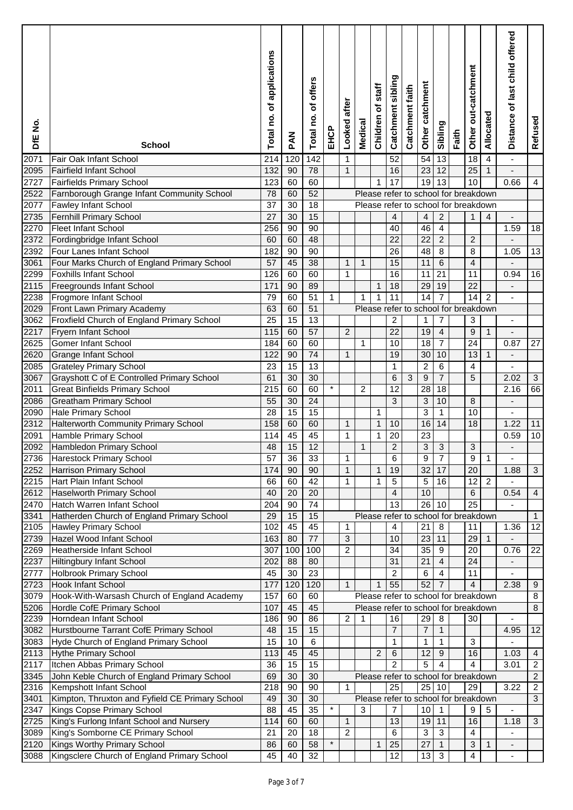| DfE No.      | <b>School</b>                                                            | Total no. of applications | MAG             | of offers<br>Total no. | EHCP     | after<br>Looked | Medical                              | staff<br>৳<br>Children | Catchment sibling       | Catchment faith | catchment<br>Other      | Sibling                 | Faith | Other out-catchment | Allocated      | Distance of last child offered | Refused          |
|--------------|--------------------------------------------------------------------------|---------------------------|-----------------|------------------------|----------|-----------------|--------------------------------------|------------------------|-------------------------|-----------------|-------------------------|-------------------------|-------|---------------------|----------------|--------------------------------|------------------|
| 2071         | Fair Oak Infant School                                                   | 214                       | 120             | 142                    |          | 1               |                                      |                        | 52                      |                 | 54                      | 13                      |       | 18                  | 4              | $\blacksquare$                 |                  |
| 2095         | <b>Fairfield Infant School</b>                                           | 132                       | 90              | 78                     |          | $\mathbf{1}$    |                                      |                        | 16                      |                 | 23                      | 12                      |       | 25                  | $\mathbf{1}$   |                                |                  |
| 2727         | Fairfields Primary School                                                | 123                       | 60              | 60                     |          |                 |                                      | 1                      | 17                      |                 | 19                      | 13                      |       | 10                  |                | 0.66                           | 4                |
| 2522         | Farnborough Grange Infant Community School                               | 78                        | 60              | 52                     |          |                 | Please refer to school for breakdown |                        |                         |                 |                         |                         |       |                     |                |                                |                  |
| 2077         | Fawley Infant School                                                     | 37                        | 30              | 18                     |          |                 | Please refer to school for breakdown |                        |                         |                 |                         |                         |       |                     |                |                                |                  |
| 2735<br>2270 | Fernhill Primary School<br><b>Fleet Infant School</b>                    | 27<br>256                 | 30<br>90        | 15<br>$\overline{90}$  |          |                 |                                      |                        | 4                       |                 | 4<br>46                 | $\overline{c}$          |       | $\mathbf{1}$        | 4              | 1.59                           |                  |
| 2372         | Fordingbridge Infant School                                              | 60                        | 60              | 48                     |          |                 |                                      |                        | 40<br>22                |                 | 22                      | 4<br>$\overline{2}$     |       | $\overline{c}$      |                |                                | 18               |
| 2392         | Four Lanes Infant School                                                 | 182                       | 90              | 90                     |          |                 |                                      |                        | 26                      |                 | 48                      | 8                       |       | 8                   |                | 1.05                           | 13               |
| 3061         | Four Marks Church of England Primary School                              | 57                        | 45              | $\overline{38}$        |          | $\mathbf{1}$    | 1                                    |                        | 15                      |                 | 11                      | 6                       |       | $\overline{4}$      |                |                                |                  |
| 2299         | <b>Foxhills Infant School</b>                                            | 126                       | 60              | 60                     |          | 1               |                                      |                        | 16                      |                 | 11                      | 21                      |       | 11                  |                | 0.94                           | 16               |
| 2115         | <b>Freegrounds Infant School</b>                                         | 171                       | 90              | 89                     |          |                 |                                      | $\mathbf 1$            | 18                      |                 | 29                      | 19                      |       | $\overline{22}$     |                |                                |                  |
| 2238         | Frogmore Infant School                                                   | 79                        | 60              | 51                     | 1        |                 | 1                                    | $\mathbf 1$            | 11                      |                 | 14                      | $\overline{7}$          |       | 14                  | $\overline{c}$ |                                |                  |
| 2029         | Front Lawn Primary Academy                                               | 63                        | 60              | $\overline{51}$        |          |                 | Please refer to school for breakdown |                        |                         |                 |                         |                         |       |                     |                |                                |                  |
| 3062         | Froxfield Church of England Primary School                               | 25                        | 15              | $\overline{13}$        |          |                 |                                      |                        | $\overline{\mathbf{c}}$ |                 | 1                       | 7                       |       | 3                   |                | $\qquad \qquad \blacksquare$   |                  |
| 2217         | Fryern Infant School                                                     | 115                       | 60              | $\overline{57}$        |          | $\overline{2}$  |                                      |                        | 22                      |                 | 19                      | $\overline{\mathbf{4}}$ |       | $\boldsymbol{9}$    | $\mathbf{1}$   |                                |                  |
| 2625         | <b>Gomer Infant School</b>                                               | 184                       | 60              | 60                     |          |                 | $\mathbf{1}$                         |                        | 10                      |                 | 18                      | $\overline{7}$          |       | 24                  |                | 0.87                           | 27               |
| 2620         | <b>Grange Infant School</b>                                              | 122                       | 90              | 74                     |          | $\mathbf{1}$    |                                      |                        | 19                      |                 | 30                      | 10                      |       | 13                  | $\mathbf{1}$   |                                |                  |
| 2085         | <b>Grateley Primary School</b>                                           | 23                        | 15              | 13                     |          |                 |                                      |                        | 1                       |                 | $\overline{\mathbf{c}}$ | 6                       |       | 4                   |                |                                |                  |
| 3067         | Grayshott C of E Controlled Primary School                               | 61                        | 30              | 30                     |          |                 |                                      |                        | 6                       | 3               | 9                       | $\overline{7}$          |       | 5                   |                | 2.02                           | $\sqrt{3}$       |
| 2011         | <b>Great Binfields Primary School</b>                                    | 215                       | 60              | 60                     | $^\star$ |                 | 2                                    |                        | 12                      |                 | 28                      | 18                      |       |                     |                | 2.16                           | 66               |
| 2086         | <b>Greatham Primary School</b>                                           | 55                        | 30              | 24                     |          |                 |                                      |                        | 3                       |                 | 3                       | 10                      |       | 8                   |                |                                |                  |
| 2090         | Hale Primary School                                                      | 28                        | 15              | 15                     |          |                 |                                      | 1                      |                         |                 | 3                       | 1                       |       | 10                  |                | ÷,                             |                  |
| 2312         | Halterworth Community Primary School                                     | 158                       | 60              | 60                     |          | $\mathbf{1}$    |                                      | $\mathbf{1}$           | 10                      |                 | 16                      | 14                      |       | 18                  |                | 1.22                           | 11               |
| 2091         | Hamble Primary School                                                    | 114                       | 45              | 45                     |          | $\mathbf 1$     |                                      | 1                      | 20                      |                 | 23                      |                         |       |                     |                | 0.59                           | 10               |
| 2092         | Hambledon Primary School                                                 | 48                        | 15              | $\overline{12}$        |          |                 | 1                                    |                        | $\overline{c}$          |                 | 3                       | 3                       |       | 3                   |                |                                |                  |
| 2736         | Harestock Primary School                                                 | 57                        | 36              | 33                     |          | 1               |                                      |                        | 6                       |                 | 9                       | $\overline{7}$          |       | $\overline{9}$      | 1              |                                |                  |
| 2252         | Harrison Primary School                                                  | 174                       | 90              | 90                     |          | $\mathbf{1}$    |                                      | 1                      | 19                      |                 | 32                      | 17                      |       | 20                  |                | 1.88                           | $\mathbf{3}$     |
| 2215         | Hart Plain Infant School                                                 | 66                        | 60              | 42                     |          | $\mathbf 1$     |                                      | $\mathbf{1}$           | 5                       |                 | 5                       | 16                      |       | 12                  | $\overline{c}$ |                                |                  |
| 2612         | <b>Haselworth Primary School</b>                                         | 40                        | 20              | 20                     |          |                 |                                      |                        | 4                       |                 | 10                      |                         |       | 6                   |                | 0.54                           | $\overline{4}$   |
| 2470         | Hatch Warren Infant School                                               | 204                       | 90              | 74                     |          |                 |                                      |                        | $\overline{13}$         |                 | 26                      | 10                      |       | 25                  |                | ÷,                             |                  |
| 3341         | Hatherden Church of England Primary School                               | 29                        | 15              | 15                     |          |                 | Please refer to school for breakdown |                        |                         |                 |                         |                         |       |                     |                |                                | 1                |
| 2105         | Hawley Primary School                                                    | 102                       | 45              | 45                     |          | $\mathbf{1}$    |                                      |                        | 4                       |                 | 21                      | 8                       |       | 11                  |                | 1.36                           | 12               |
| 2739         | Hazel Wood Infant School                                                 | 163                       | 80              | $\overline{77}$        |          | 3               |                                      |                        | 10                      |                 | 23                      | 11                      |       | 29                  | $\mathbf{1}$   |                                |                  |
| 2269         | <b>Heatherside Infant School</b>                                         | 307                       | 100             | 100                    |          | $\overline{2}$  |                                      |                        | 34                      |                 | $\overline{35}$         | 9                       |       | 20                  |                | 0.76                           | 22               |
| 2237         | <b>Hiltingbury Infant School</b>                                         | 202                       | 88              | 80                     |          |                 |                                      |                        | 31                      |                 | 21                      | 4                       |       | 24                  |                |                                |                  |
| 2777         | <b>Holbrook Primary School</b>                                           | 45                        | 30              | 23                     |          |                 |                                      |                        | $\overline{2}$          |                 | 6                       | $\overline{4}$          |       | 11                  |                |                                |                  |
| 2723         | <b>Hook Infant School</b><br>Hook-With-Warsash Church of England Academy | 177<br>157                | 120             | 120<br>60              |          | $\overline{1}$  | Please refer to school for breakdown |                        | 55                      |                 | 52                      | $\overline{7}$          |       | $\overline{4}$      |                | 2.38                           | 9<br>8           |
| 3079<br>5206 | Hordle CofE Primary School                                               | 107                       | 60<br>45        | 45                     |          |                 | Please refer to school for breakdown |                        |                         |                 |                         |                         |       |                     |                |                                | 8                |
| 2239         | Horndean Infant School                                                   | 186                       | 90              | 86                     |          | $\overline{2}$  | 1                                    |                        | 16                      |                 | 29                      | 8                       |       | 30                  |                |                                |                  |
| 3082         | Hurstbourne Tarrant CofE Primary School                                  | 48                        | 15              | 15                     |          |                 |                                      |                        | $\overline{7}$          |                 | 7                       | $\mathbf{1}$            |       |                     |                | 4.95                           | 12               |
| 3083         | Hyde Church of England Primary School                                    | 15                        | 10              | $\,6$                  |          |                 |                                      |                        | 1                       |                 | 1                       | $\mathbf{1}$            |       | 3                   |                |                                |                  |
| 2113         | <b>Hythe Primary School</b>                                              | 113                       | 45              | 45                     |          |                 |                                      | $\overline{c}$         | 6                       |                 | 12                      | 9                       |       | 16                  |                | 1.03                           | $\overline{4}$   |
| 2117         | Itchen Abbas Primary School                                              | 36                        | $\overline{15}$ | $\overline{15}$        |          |                 |                                      |                        | $\overline{2}$          |                 | 5                       | $\overline{4}$          |       | 4                   |                | 3.01                           | $\boldsymbol{2}$ |
| 3345         | John Keble Church of England Primary School                              | 69                        | 30              | 30                     |          |                 | Please refer to school for breakdown |                        |                         |                 |                         |                         |       |                     |                |                                | $\overline{c}$   |
| 2316         | Kempshott Infant School                                                  | 218                       | 90              | 90                     |          | $\mathbf{1}$    |                                      |                        | 25                      |                 |                         | 25 10                   |       | 29                  |                | 3.22                           | $\boldsymbol{2}$ |
| 3401         | Kimpton, Thruxton and Fyfield CE Primary School                          | 49                        | 30              | 30                     |          |                 | Please refer to school for breakdown |                        |                         |                 |                         |                         |       |                     |                |                                | 3                |
| 2347         | Kings Copse Primary School                                               | 88                        | 45              | $\overline{35}$        | $\star$  |                 | 3                                    |                        | 7                       |                 | 10                      | $\mathbf{1}$            |       | 9                   | 5              |                                |                  |
| 2725         | King's Furlong Infant School and Nursery                                 | 114                       | 60              | 60                     |          | $\mathbf{1}$    |                                      |                        | 13                      |                 | 19                      | 11                      |       | 16                  |                | 1.18                           | $\sqrt{3}$       |
| 3089         | King's Somborne CE Primary School                                        | 21                        | 20              | 18                     |          | 2               |                                      |                        | 6                       |                 | 3                       | 3                       |       | 4                   |                |                                |                  |
| 2120         | Kings Worthy Primary School                                              | 86                        | 60              | 58                     | $\star$  |                 |                                      | $\mathbf{1}$           | 25                      |                 | 27                      | $\mathbf{1}$            |       | 3                   | $\mathbf{1}$   | $\blacksquare$                 |                  |
| 3088         | Kingsclere Church of England Primary School                              | 45                        | 40              | 32                     |          |                 |                                      |                        | 12                      |                 | 13                      | $\mathbf{3}$            |       | 4                   |                | $\blacksquare$                 |                  |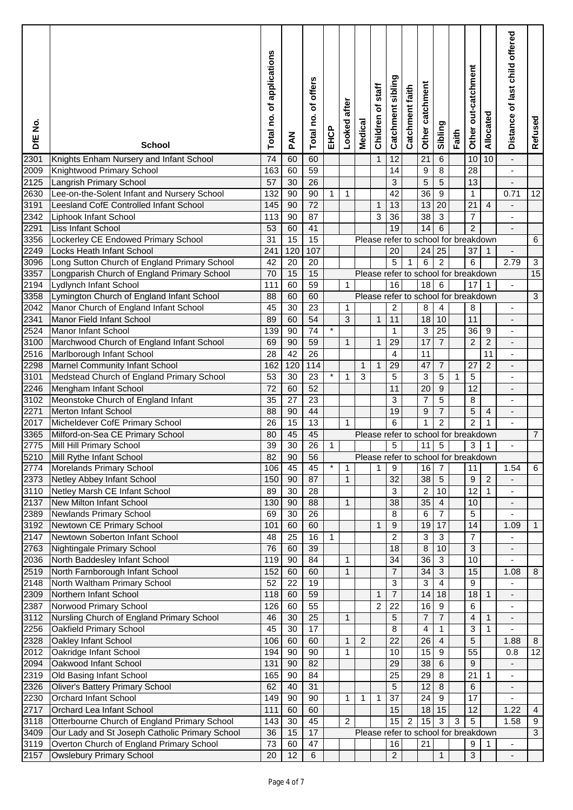| DfE No.           | <b>School</b>                                                                              | of applications<br>Total no. | PAN             | offers<br>ō<br>Total no. | EHCP    | after<br>Looked | <b>Medical</b>                       | staff<br>৳<br>Children | Catchment sibling | Catchment faith | catchment<br>Other | Sibling              | Faith | Other out-catchment | Allocated      | Distance of last child offered   | Refused        |
|-------------------|--------------------------------------------------------------------------------------------|------------------------------|-----------------|--------------------------|---------|-----------------|--------------------------------------|------------------------|-------------------|-----------------|--------------------|----------------------|-------|---------------------|----------------|----------------------------------|----------------|
| 2301              | Knights Enham Nursery and Infant School                                                    | 74                           | 60              | 60                       |         |                 |                                      | $\mathbf{1}$           | 12                |                 | 21                 | 6                    |       | 10                  | 10             | $\overline{\phantom{a}}$         |                |
| 2009              | Knightwood Primary School                                                                  | 163                          | 60              | 59                       |         |                 |                                      |                        | 14                |                 | 9                  | 8                    |       | 28                  |                |                                  |                |
| 2125              | Langrish Primary School                                                                    | 57                           | 30              | 26                       |         |                 |                                      |                        | 3                 |                 | 5                  | 5                    |       | 13                  |                | $\overline{a}$                   |                |
| 2630              | Lee-on-the-Solent Infant and Nursery School                                                | 132                          | 90              | 90                       | 1       | 1               |                                      |                        | 42                |                 | 36                 | 9                    |       | 1                   |                | 0.71                             | 12             |
| 3191              | Leesland CofE Controlled Infant School                                                     | 145                          | 90              | $\overline{72}$          |         |                 |                                      | 1                      | 13                |                 | 13                 | 20                   |       | 21                  | 4              | $\qquad \qquad \blacksquare$     |                |
| 2342              | Liphook Infant School                                                                      | 113                          | 90              | 87                       |         |                 |                                      | 3                      | 36                |                 | 38                 | 3                    |       | $\overline{7}$      |                |                                  |                |
| 2291              | Liss Infant School                                                                         | 53                           | 60              | 41                       |         |                 |                                      |                        | 19                |                 | 14                 | 6                    |       | $\overline{c}$      |                |                                  |                |
| 3356              | Lockerley CE Endowed Primary School                                                        | 31                           | 15              | 15                       |         |                 | Please refer to school for breakdown |                        |                   |                 |                    |                      |       |                     |                |                                  | 6              |
| 2249              | Locks Heath Infant School                                                                  | 241                          | 120             | 107                      |         |                 |                                      |                        | 20                |                 | 24                 | 25                   |       | 37                  | 1              |                                  |                |
| 3096              | Long Sutton Church of England Primary School                                               | 42                           | 20              | 20                       |         |                 |                                      |                        | 5                 | 1               | 6                  | $\overline{2}$       |       | 6                   |                | 2.79                             | $\sqrt{3}$     |
| 3357              | Longparish Church of England Primary School                                                | 70                           | 15              | 15                       |         |                 | Please refer to school for breakdown |                        |                   |                 |                    |                      |       |                     |                |                                  | 15             |
| 2194              | Lydlynch Infant School                                                                     | 111                          | 60              | 59<br>60                 |         | $\mathbf{1}$    | Please refer to school for breakdown |                        | 16                |                 | 18                 | $\,6\,$              |       | 17                  | 1              |                                  |                |
| 3358              | Lymington Church of England Infant School                                                  | 88                           | 60              |                          |         |                 |                                      |                        |                   |                 |                    |                      |       |                     |                |                                  | 3              |
| 2042              | Manor Church of England Infant School                                                      | 45                           | 30<br>60        | 23<br>$\overline{54}$    |         | 1               |                                      | $\mathbf{1}$           | $\overline{c}$    |                 | 8<br>18            | $\overline{4}$<br>10 |       | 8<br>11             |                | $\blacksquare$                   |                |
| 2341<br>2524      | Manor Field Infant School<br><b>Manor Infant School</b>                                    | 89<br>139                    | 90              | $\overline{74}$          | $\star$ | 3               |                                      |                        | 11<br>1           |                 | 3                  | 25                   |       | 36                  | 9              | $\overline{a}$<br>$\blacksquare$ |                |
| 3100              | Marchwood Church of England Infant School                                                  | 69                           | 90              | 59                       |         | $\mathbf{1}$    |                                      | $\mathbf{1}$           | 29                |                 | 17                 | $\overline{7}$       |       | $\overline{2}$      | $\overline{c}$ |                                  |                |
| 2516              | Marlborough Infant School                                                                  | 28                           | $\overline{42}$ | $\overline{26}$          |         |                 |                                      |                        | 4                 |                 | 11                 |                      |       |                     | 11             | $\blacksquare$                   |                |
|                   |                                                                                            | 162                          | 120             | $\frac{114}{114}$        |         |                 | 1                                    | 1                      | 29                |                 | 47                 | $\overline{7}$       |       | 27                  | $\overline{2}$ |                                  |                |
| 2298<br>3101      | Marnel Community Infant School                                                             | 53                           | 30              | $\overline{23}$          | $\star$ | $\mathbf 1$     | 3                                    |                        | 5                 |                 | 3                  | 5                    | 1     | 5                   |                | $\overline{\phantom{a}}$         |                |
| 2246              | Medstead Church of England Primary School<br>Mengham Infant School                         | 72                           | 60              | 52                       |         |                 |                                      |                        | 11                |                 | 20                 | 9                    |       | 12                  |                |                                  |                |
| 3102              | Meonstoke Church of England Infant                                                         | 35                           | 27              | 23                       |         |                 |                                      |                        | 3                 |                 | $\overline{7}$     | 5                    |       | 8                   |                | $\overline{\phantom{a}}$         |                |
| 2271              | Merton Infant School                                                                       | 88                           | 90              | 44                       |         |                 |                                      |                        | 19                |                 | 9                  | $\overline{7}$       |       | 5                   | $\overline{4}$ |                                  |                |
| 2017              | Micheldever CofE Primary School                                                            | 26                           | 15              | 13                       |         | $\mathbf{1}$    |                                      |                        | 6                 |                 | 1                  | $\overline{2}$       |       | $\overline{2}$      | 1              |                                  |                |
| 3365              | Milford-on-Sea CE Primary School                                                           | 80                           | 45              | 45                       |         |                 | Please refer to school for breakdown |                        |                   |                 |                    |                      |       |                     |                |                                  | $\overline{7}$ |
| 2775              | Mill Hill Primary School                                                                   | 39                           | $\overline{30}$ | $\overline{26}$          | 1       |                 |                                      |                        | $\sqrt{5}$        |                 | 11                 | $\sqrt{5}$           |       | 3                   | 1              | $\blacksquare$                   |                |
|                   | 5210 Mill Rythe Infant School                                                              | 82                           | 90              | 56                       |         |                 | Please refer to school for breakdown |                        |                   |                 |                    |                      |       |                     |                |                                  |                |
| 2774              | Morelands Primary School                                                                   | 106                          | 45              | 45                       | $\star$ | 1               |                                      | 1                      | 9                 |                 | 16                 | $\overline{7}$       |       | 11                  |                | 1.54                             | 6              |
| 2373              | Netley Abbey Infant School                                                                 | 150                          | 90              | 87                       |         | $\mathbf{1}$    |                                      |                        | $\overline{32}$   |                 | 38                 | 5                    |       | 9                   | $\overline{2}$ |                                  |                |
| 3110              | <b>Netley Marsh CE Infant School</b>                                                       | 89                           | 30              | 28                       |         |                 |                                      |                        | 3                 |                 | $\overline{c}$     | 10                   |       | 12                  | 1              | L.                               |                |
| 2137              | <b>New Milton Infant School</b>                                                            | 130                          | 90              | 88                       |         | $\mathbf{1}$    |                                      |                        | 38                |                 | $\overline{35}$    | $\overline{4}$       |       | 10                  |                |                                  |                |
| 2389              | Newlands Primary School                                                                    | 69                           | 30              | 26                       |         |                 |                                      |                        | 8                 |                 | 6                  | $\overline{7}$       |       | 5                   |                |                                  |                |
| 3192              | Newtown CE Primary School                                                                  | 101                          | 60              | 60                       |         |                 |                                      | 1                      | 9                 |                 | 19                 | 17                   |       | 14                  |                | 1.09                             | $\mathbf{1}$   |
| 2147              | Newtown Soberton Infant School                                                             | 48                           | 25              | 16                       | 1       |                 |                                      |                        | $\overline{2}$    |                 | 3                  | 3                    |       | $\overline{7}$      |                |                                  |                |
| 2763              | Nightingale Primary School                                                                 | 76                           | 60              | 39                       |         |                 |                                      |                        | 18                |                 | 8                  | 10                   |       | 3                   |                |                                  |                |
| 2036              | North Baddesley Infant School                                                              | 119                          | 90              | 84                       |         | 1               |                                      |                        | 34                |                 | 36                 | 3                    |       | 10                  |                |                                  |                |
| 2519              | North Farnborough Infant School                                                            | 152                          | 60              | 60                       |         | $\mathbf{1}$    |                                      |                        | $\overline{7}$    |                 | 34                 | $\mathfrak{B}$       |       | 15                  |                | 1.08                             | 8              |
| 2148              | North Waltham Primary School                                                               | 52                           | 22              | 19                       |         |                 |                                      |                        | 3                 |                 | 3                  | $\overline{4}$       |       | 9                   |                |                                  |                |
| 2309              | Northern Infant School                                                                     | 118                          | 60              | 59                       |         |                 |                                      | $\mathbf{1}$           | $\overline{7}$    |                 | 14                 | 18                   |       | 18                  | $\mathbf{1}$   | $\frac{1}{2}$                    |                |
| 2387              | Norwood Primary School                                                                     | 126                          | 60              | 55                       |         |                 |                                      | $\overline{c}$         | 22                |                 | 16                 | 9                    |       | 6                   |                |                                  |                |
| 3112              | Nursling Church of England Primary School                                                  | 46                           | 30              | 25                       |         | $\mathbf{1}$    |                                      |                        | 5                 |                 | $\overline{7}$     | $\overline{7}$       |       | $\overline{4}$      | $\mathbf{1}$   | $\frac{1}{2}$                    |                |
| 2256              | Oakfield Primary School                                                                    | 45                           | 30              | 17                       |         |                 |                                      |                        | 8                 |                 | 4                  | $\mathbf{1}$         |       | 3                   | 1              |                                  |                |
| 2328              | Oakley Infant School                                                                       | 106                          | 60              | 60                       |         | $\mathbf{1}$    | $\overline{c}$                       |                        | 22                |                 | 26                 | $\overline{4}$       |       | 5                   |                | 1.88                             | 8              |
| $\sqrt{2012}$     | Oakridge Infant School                                                                     | 194                          | 90              | 90                       |         | $\mathbf{1}$    |                                      |                        | 10                |                 | 15                 | 9                    |       | 55                  |                | 0.8                              | 12             |
| 2094              | Oakwood Infant School                                                                      | 131                          | 90              | 82                       |         |                 |                                      |                        | 29                |                 | 38                 | 6                    |       | 9                   |                |                                  |                |
| 2319              | Old Basing Infant School                                                                   | 165                          | 90              | 84                       |         |                 |                                      |                        | 25                |                 | 29                 | 8                    |       | 21                  | 1              |                                  |                |
| 2326              | <b>Oliver's Battery Primary School</b>                                                     | 62                           | 40              | 31                       |         |                 |                                      |                        | 5                 |                 | $\overline{12}$    | 8                    |       | 6                   |                |                                  |                |
| 2230              | Orchard Infant School                                                                      | 149                          | 90              | 90                       |         | $\mathbf 1$     | 1                                    | 1                      | 37                |                 | 24                 | 9                    |       | $\overline{17}$     |                |                                  |                |
| $\overline{2717}$ | Orchard Lea Infant School                                                                  | 111                          | 60              | 60                       |         |                 |                                      |                        | 15                |                 | 18                 | 15                   |       | 12                  |                | 1.22                             | $\overline{4}$ |
| 3118              | Otterbourne Church of England Primary School                                               | 143                          | 30              | 45                       |         | $\overline{2}$  |                                      |                        | $\overline{15}$   | $\overline{2}$  | 15                 | 3                    | 3     | 5                   |                | 1.58                             | 9              |
| 3409<br>3119      | Our Lady and St Joseph Catholic Primary School<br>Overton Church of England Primary School | 36<br>73                     | 15<br>60        | 17<br>47                 |         |                 | Please refer to school for breakdown |                        | 16                |                 | 21                 |                      |       | 9                   |                | $\blacksquare$                   | 3              |
| 2157              | <b>Owslebury Primary School</b>                                                            | 20                           | $\overline{12}$ | 6                        |         |                 |                                      |                        | $\overline{2}$    |                 |                    | $\mathbf{1}$         |       | 3                   |                |                                  |                |
|                   |                                                                                            |                              |                 |                          |         |                 |                                      |                        |                   |                 |                    |                      |       |                     |                | $\overline{\phantom{a}}$         |                |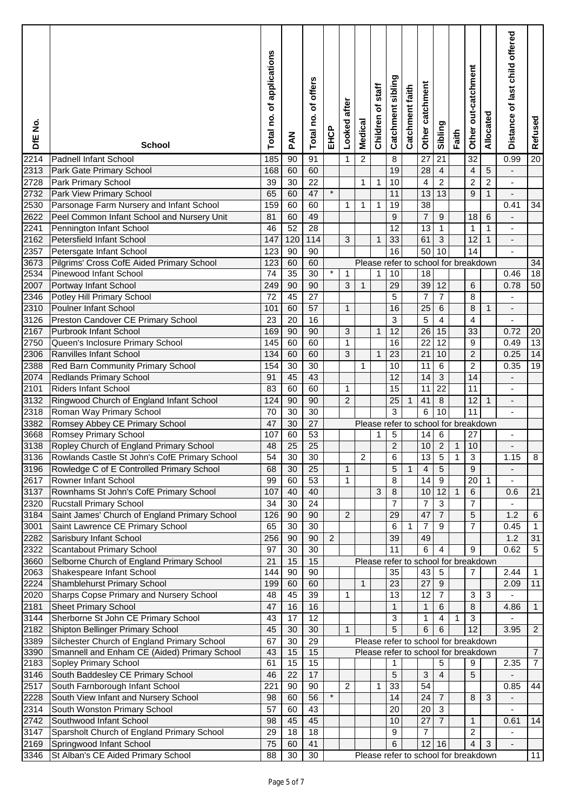| DfE No.       | <b>School</b>                                                                   | applications<br>ō<br>Total no. | MAR             | n<br>offer:<br>٥f<br>Total no. | EHCP           | after<br>Looked | Medical        | staff<br>৳<br>Children               | Catchment sibling | Catchment faith | catchment<br>Other | Sibling         | Faith          | Other out-catchment  | Allocated      | Distance of last child offered | Refused         |
|---------------|---------------------------------------------------------------------------------|--------------------------------|-----------------|--------------------------------|----------------|-----------------|----------------|--------------------------------------|-------------------|-----------------|--------------------|-----------------|----------------|----------------------|----------------|--------------------------------|-----------------|
| 2214          | <b>Padnell Infant School</b>                                                    | 185                            | 90              | 91                             |                | $\mathbf{1}$    | $\overline{c}$ |                                      | 8                 |                 | 27                 | 21              |                | $\overline{32}$      |                | 0.99                           | $\overline{20}$ |
| 2313          | Park Gate Primary School                                                        | 168                            | 60              | 60                             |                |                 |                |                                      | 19                |                 | 28                 | $\overline{4}$  |                | 4                    | 5              |                                |                 |
| 2728          | Park Primary School                                                             | 39                             | 30              | $\overline{22}$                |                |                 | 1              | 1                                    | 10                |                 | 4                  | $\overline{2}$  |                | $\overline{c}$       | $\overline{c}$ |                                |                 |
| 2732          | Park View Primary School                                                        | 65                             | 60              | 47                             | $\star$        |                 |                |                                      | 11                |                 | 13                 | 13              |                | 9                    | $\mathbf{1}$   |                                |                 |
| 2530          | Parsonage Farm Nursery and Infant School                                        | 159                            | 60              | 60                             |                | 1               | 1              | 1                                    | 19                |                 | 38                 |                 |                |                      |                | 0.41                           | 34              |
| 2622          | Peel Common Infant School and Nursery Unit                                      | 81                             | 60              | 49                             |                |                 |                |                                      | 9                 |                 | 7                  | 9               |                | 18                   | 6              |                                |                 |
| 2241          | Pennington Infant School                                                        | 46                             | 52              | $\overline{28}$                |                |                 |                |                                      | 12                |                 | 13                 | $\mathbf{1}$    |                | 1                    | 1              |                                |                 |
| 2162          | Petersfield Infant School                                                       | 147                            | 120             | 114                            |                | 3               |                | 1                                    | 33                |                 | 61                 | $\mathbf{3}$    |                | 12                   | 1              |                                |                 |
| 2357          | Petersgate Infant School                                                        | 123                            | 90              | 90                             |                |                 |                |                                      | 16                |                 | 50                 | 10              |                | 14                   |                |                                |                 |
| 3673          | Pilgrims' Cross CofE Aided Primary School                                       | 123                            | 60              | 60                             |                |                 |                | Please refer to school for breakdown |                   |                 |                    |                 |                |                      |                |                                | 34              |
| 2534          | Pinewood Infant School                                                          | 74                             | $\overline{35}$ | $\overline{30}$                | $\star$        | 1               |                | 1                                    | 10                |                 | 18                 |                 |                |                      |                | 0.46                           | 18              |
| 2007          | Portway Infant School                                                           | 249                            | 90              | 90                             |                | 3               | $\mathbf{1}$   |                                      | 29                |                 | 39                 | 12              |                | 6                    |                | 0.78                           | 50              |
| 2346          | Potley Hill Primary School                                                      | 72                             | 45              | $\overline{27}$                |                |                 |                |                                      | 5                 |                 | $\overline{7}$     | $\overline{7}$  |                | 8                    |                | $\blacksquare$                 |                 |
| 2310          | Poulner Infant School                                                           | 101                            | 60              | 57                             |                | $\mathbf{1}$    |                |                                      | 16                |                 | 25                 | 6               |                | 8                    | 1              |                                |                 |
| 3126          | Preston Candover CE Primary School                                              | 23                             | 20              | 16                             |                |                 |                |                                      | 3                 |                 | 5                  | $\overline{4}$  |                | $\overline{4}$       |                | $\blacksquare$                 |                 |
| 2167          | <b>Purbrook Infant School</b>                                                   | 169                            | 90              | 90                             |                | 3               |                | 1                                    | 12                |                 | 26                 | 15              |                | 33                   |                | 0.72                           | 20              |
| 2750          | Queen's Inclosure Primary School                                                | 145                            | 60              | 60                             |                | $\mathbf{1}$    |                |                                      | 16                |                 | 22                 | 12              |                | 9                    |                | 0.49                           | 13              |
| 2306          | Ranvilles Infant School                                                         | 134                            | 60              | 60                             |                | 3               |                | $\mathbf 1$                          | 23                |                 | 21                 | 10              |                | $\overline{c}$       |                | 0.25                           | $\overline{14}$ |
| 2388          | Red Barn Community Primary School                                               | 154                            | 30              | $\overline{30}$                |                |                 | 1              |                                      | 10                |                 | 11                 | 6               |                | $\overline{c}$       |                | 0.35                           | 19              |
| 2074          | <b>Redlands Primary School</b>                                                  | 91                             | 45              | 43                             |                |                 |                |                                      | 12                |                 | 14                 | $\mathbf{3}$    |                | 14                   |                | $\overline{\phantom{a}}$       |                 |
| 2101          | <b>Riders Infant School</b>                                                     | 83                             | 60              | 60                             |                | 1               |                |                                      | 15                |                 | 11                 | $\overline{22}$ |                | 11                   |                |                                |                 |
| 3132          | Ringwood Church of England Infant School                                        | 124                            | 90              | 90                             |                | $\overline{c}$  |                |                                      | 25                | $\mathbf{1}$    | 41                 | 8               |                | 12                   | $\mathbf{1}$   | $\overline{\phantom{a}}$       |                 |
| 2318          | Roman Way Primary School                                                        | 70                             | 30              | 30                             |                |                 |                |                                      | 3                 |                 | 6                  | 10              |                | 11                   |                |                                |                 |
| 3382          | Romsey Abbey CE Primary School                                                  | 47                             | 30              | $\overline{27}$                |                |                 |                | Please refer to school for breakdown |                   |                 |                    |                 |                |                      |                |                                |                 |
| 3668          | Romsey Primary School                                                           | 107                            | 60              | 53                             |                |                 |                | 1                                    | 5                 |                 | 14                 | $6\phantom{.}6$ |                | 27                   |                | ä,                             |                 |
| 3138          | Ropley Church of England Primary School                                         | 48                             | $\overline{25}$ | $\overline{25}$                |                |                 |                |                                      | $\overline{c}$    |                 | 10                 | $\overline{2}$  | $\mathbf{1}$   | 10                   |                | $\blacksquare$                 |                 |
|               | 3136 Rowlands Castle St John's CofE Primary School                              | 54                             | 30              | 30                             |                |                 | $\overline{2}$ |                                      | $\overline{6}$    |                 | $\overline{13}$    | $\overline{5}$  | $\overline{1}$ | $\overline{3}$       |                | 1.15                           | $\overline{8}$  |
| 3196          | Rowledge C of E Controlled Primary School                                       | 68                             | 30              | 25                             |                | $\mathbf{1}$    |                |                                      | 5                 | $\mathbf{1}$    | $\overline{4}$     | 5               |                | 9                    |                |                                |                 |
| 2617          | Rowner Infant School                                                            | 99                             | 60              | 53                             |                | $\mathbf{1}$    |                |                                      | 8                 |                 | 14                 | 9               |                | 20                   | 1              |                                |                 |
| 3137          | Rownhams St John's CofE Primary School                                          | 107                            | 40              | 40                             |                |                 |                | 3                                    | 8                 |                 | 10                 | 12              | 1              | 6                    |                | 0.6                            | 21              |
| 2320          | <b>Rucstall Primary School</b>                                                  | 34                             | 30              | 24                             |                |                 |                |                                      | $\overline{7}$    |                 | 7                  | $\overline{3}$  |                | $\overline{7}$       |                |                                |                 |
| 3184          | Saint James' Church of England Primary School                                   | 126                            | 90              | 90                             |                | $\overline{c}$  |                |                                      | 29                |                 | 47                 | $\overline{7}$  |                | 5                    |                | 1.2                            | $\,6\,$         |
| 3001          | Saint Lawrence CE Primary School                                                | 65                             | 30              | $\overline{30}$                |                |                 |                |                                      | 6                 | 1               | 7                  | 9               |                | $\overline{7}$       |                | 0.45                           | $\mathbf 1$     |
| 2282          | Sarisbury Infant School                                                         | 256                            | 90              | 90                             | $\overline{c}$ |                 |                |                                      | 39                |                 | 49                 |                 |                |                      |                | 1.2                            | 31              |
| 2322          | <b>Scantabout Primary School</b>                                                | 97                             | 30              | $\overline{30}$                |                |                 |                |                                      | 11                |                 | 6                  | 4               |                | 9                    |                | 0.62                           | $\sqrt{5}$      |
| 3660          | Selborne Church of England Primary School                                       | 21                             | 15              | 15                             |                |                 |                | Please refer to school for breakdown |                   |                 |                    |                 |                |                      |                |                                |                 |
| 2063          | Shakespeare Infant School                                                       | 144                            | 90              | 90                             |                |                 |                |                                      | 35                |                 | 43                 | $\sqrt{5}$      |                | 7                    |                | 2.44                           | $\mathbf{1}$    |
| 2224          | Shamblehurst Primary School                                                     | 199                            | 60              | 60                             |                |                 | $\mathbf{1}$   |                                      | 23                |                 | 27                 | 9               |                |                      |                | 2.09                           | 11              |
| 2020          | Sharps Copse Primary and Nursery School                                         | 48                             | 45              | 39                             |                | 1               |                |                                      | 13                |                 | 12                 | $\overline{7}$  |                | 3                    | 3              |                                |                 |
| 2181<br>3144  | <b>Sheet Primary School</b>                                                     | 47                             | 16<br>17        | 16<br>12                       |                |                 |                |                                      | $\mathbf{1}$      |                 | 1                  | 6<br>4          |                | 8                    |                | 4.86                           | $\mathbf{1}$    |
|               | Sherborne St John CE Primary School                                             | 43<br>45                       |                 | 30                             |                | $\mathbf{1}$    |                |                                      | 3<br>5            |                 | 1<br>6             | 6               | 1              | 3<br>$\overline{12}$ |                |                                | $\overline{c}$  |
| 2182<br>3389  | Shipton Bellinger Primary School<br>Silchester Church of England Primary School | 67                             | 30<br>30        | 29                             |                |                 |                | Please refer to school for breakdown |                   |                 |                    |                 |                |                      |                | 3.95                           |                 |
| 3390          | Smannell and Enham CE (Aided) Primary School                                    | 43                             | 15              | 15                             |                |                 |                | Please refer to school for breakdown |                   |                 |                    |                 |                |                      |                |                                | $\overline{7}$  |
| $\sqrt{2183}$ | Sopley Primary School                                                           | 61                             | 15              | 15                             |                |                 |                |                                      | 1                 |                 |                    | 5               |                | 9                    |                | 2.35                           | $\overline{7}$  |
| 3146          | South Baddesley CE Primary School                                               | 46                             | 22              | 17                             |                |                 |                |                                      | 5                 |                 | 3                  | $\overline{4}$  |                | 5                    |                | ÷,                             |                 |
| 2517          | South Farnborough Infant School                                                 | 221                            | 90              | 90                             |                | $\overline{2}$  |                | 1                                    | 33                |                 | 54                 |                 |                |                      |                | 0.85                           | 44              |
| 2228          | South View Infant and Nursery School                                            | 98                             | 60              | 56                             | $\star$        |                 |                |                                      | 14                |                 | 24                 | $\overline{7}$  |                | 8                    | 3              | ÷,                             |                 |
| 2314          | South Wonston Primary School                                                    | 57                             | 60              | 43                             |                |                 |                |                                      | 20                |                 | 20                 | 3               |                |                      |                | $\blacksquare$                 |                 |
| 2742          | Southwood Infant School                                                         | 98                             | 45              | 45                             |                |                 |                |                                      | 10                |                 | 27                 | $\overline{7}$  |                | $\mathbf{1}$         |                | 0.61                           | 14              |
| 3147          | Sparsholt Church of England Primary School                                      | 29                             | 18              | 18                             |                |                 |                |                                      | 9                 |                 | $\overline{7}$     |                 |                | $\overline{2}$       |                | ä,                             |                 |
| 2169          | Springwood Infant School                                                        | 75                             | 60              | 41                             |                |                 |                |                                      | 6                 |                 | 12 <sup>2</sup>    | 16              |                | $\overline{4}$       | 3              | $\overline{\phantom{a}}$       |                 |
| 3346          | St Alban's CE Aided Primary School                                              | 88                             | 30              | 30                             |                |                 |                | Please refer to school for breakdown |                   |                 |                    |                 |                |                      |                |                                | 11              |
|               |                                                                                 |                                |                 |                                |                |                 |                |                                      |                   |                 |                    |                 |                |                      |                |                                |                 |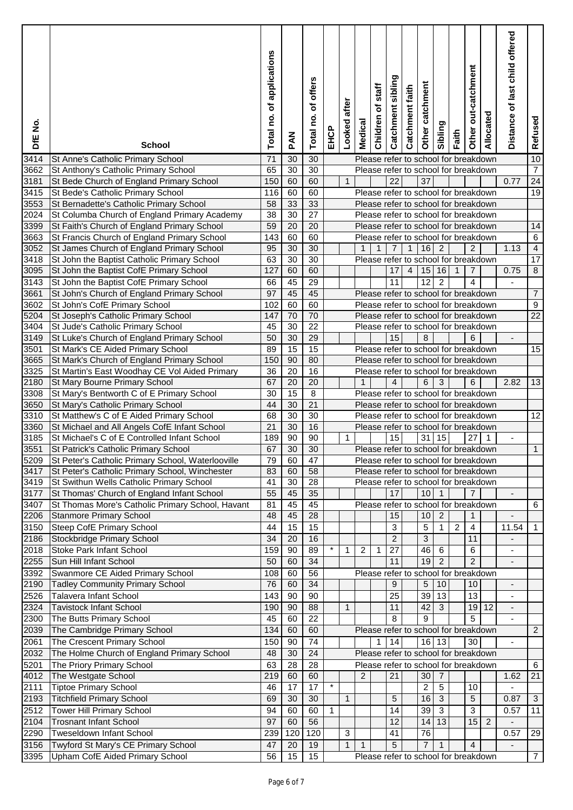| DfE No.      | <b>School</b>                                                                  | of applications<br>Total no. | <b>MAd</b>      | of offers<br>Total no. | EHCP         | after<br>Looked | Medical                                              | staff<br>Children of | Catchment sibling | Catchment faith | Other catchment | Sibling        | Faith          | Other out-catchment | Allocated                            | Distance of last child offered | Refused              |
|--------------|--------------------------------------------------------------------------------|------------------------------|-----------------|------------------------|--------------|-----------------|------------------------------------------------------|----------------------|-------------------|-----------------|-----------------|----------------|----------------|---------------------|--------------------------------------|--------------------------------|----------------------|
| 3414         | St Anne's Catholic Primary School                                              | 71                           | 30              | 30                     |              |                 | Please refer to school for breakdown                 |                      |                   |                 |                 |                |                |                     |                                      |                                | 10                   |
| 3662         | St Anthony's Catholic Primary School                                           | 65                           | 30              | 30                     |              |                 | Please refer to school for breakdown                 |                      |                   |                 |                 |                |                |                     |                                      |                                | $\overline{7}$       |
| 3181         | St Bede Church of England Primary School                                       | 150                          | 60              | 60                     |              | $\mathbf{1}$    |                                                      |                      | 22                |                 | $\overline{37}$ |                |                |                     |                                      | 0.77                           | $\overline{24}$      |
| 3415         | St Bede's Catholic Primary School                                              | 116                          | 60              | 60                     |              |                 | Please refer to school for breakdown                 |                      |                   |                 |                 |                |                |                     |                                      |                                | 19                   |
| 3553         | St Bernadette's Catholic Primary School                                        | 58                           | 33              | 33                     |              |                 | Please refer to school for breakdown                 |                      |                   |                 |                 |                |                |                     |                                      |                                |                      |
| 2024         | St Columba Church of England Primary Academy                                   | $\overline{38}$              | $\overline{30}$ | $\overline{27}$        |              |                 | Please refer to school for breakdown                 |                      |                   |                 |                 |                |                |                     |                                      |                                |                      |
| 3399         | St Faith's Church of England Primary School                                    | 59                           | 20              | 20                     |              |                 | Please refer to school for breakdown                 |                      |                   |                 |                 |                |                |                     |                                      |                                | 14                   |
| 3663         | St Francis Church of England Primary School                                    | 143                          | 60              | 60                     |              |                 | Please refer to school for breakdown                 |                      |                   |                 |                 |                |                |                     |                                      |                                | 6                    |
| 3052         | St James Church of England Primary School                                      | 95                           | 30              | 30                     |              |                 | $\mathbf{1}$                                         | $\mathbf{1}$         | $\overline{7}$    | $\mathbf{1}$    | 16              | $\overline{2}$ |                | $\overline{2}$      |                                      | 1.13                           | $\overline{4}$       |
| 3418         | St John the Baptist Catholic Primary School                                    | 63                           | 30              | 30                     |              |                 | Please refer to school for breakdown                 |                      |                   |                 |                 |                |                |                     |                                      |                                | 17<br>$\overline{8}$ |
| 3095         | St John the Baptist CofE Primary School                                        | 127                          | 60              | 60                     |              |                 |                                                      |                      | 17                | $\overline{4}$  | 15              | 16             | $\mathbf{1}$   | $\overline{7}$      |                                      | 0.75                           |                      |
| 3143         | St John the Baptist CofE Primary School                                        | 66                           | 45              | $\overline{29}$        |              |                 |                                                      |                      | 11                |                 | $\overline{12}$ | $\overline{2}$ |                | 4                   |                                      | $\blacksquare$                 |                      |
| 3661         | St John's Church of England Primary School                                     | 97                           | 45              | 45                     |              |                 | Please refer to school for breakdown                 |                      |                   |                 |                 |                |                |                     |                                      |                                | $\overline{7}$       |
| 3602         | St John's CofE Primary School                                                  | 102<br>147                   | 60<br>70        | 60<br>$\overline{70}$  |              |                 | Please refer to school for breakdown                 |                      |                   |                 |                 |                |                |                     |                                      |                                | 9<br>$\overline{22}$ |
| 5204         | St Joseph's Catholic Primary School                                            | 45                           | 30              | 22                     |              |                 | Please refer to school for breakdown                 |                      |                   |                 |                 |                |                |                     |                                      |                                |                      |
| 3404         | St Jude's Catholic Primary School                                              | 50                           | 30              | 29                     |              |                 | Please refer to school for breakdown                 |                      | 15                |                 |                 |                |                | 6                   |                                      |                                |                      |
| 3149         | St Luke's Church of England Primary School                                     |                              |                 |                        |              |                 |                                                      |                      |                   |                 | 8               |                |                |                     |                                      |                                |                      |
| 3501         | St Mark's CE Aided Primary School                                              | 89                           | 15<br>90        | 15<br>80               |              |                 | Please refer to school for breakdown                 |                      |                   |                 |                 |                |                |                     |                                      |                                | 15                   |
| 3665         | St Mark's Church of England Primary School                                     | 150<br>36                    | $\overline{20}$ | 16                     |              |                 | Please refer to school for breakdown                 |                      |                   |                 |                 |                |                |                     |                                      |                                |                      |
| 3325<br>2180 | St Martin's East Woodhay CE Vol Aided Primary<br>St Mary Bourne Primary School | 67                           | $\overline{20}$ | $\overline{20}$        |              |                 | Please refer to school for breakdown<br>$\mathbf{1}$ |                      | $\overline{4}$    |                 | 6               | 3              |                | 6                   |                                      | 2.82                           | 13                   |
| 3308         | St Mary's Bentworth C of E Primary School                                      | 30                           | $\overline{15}$ | $\overline{8}$         |              |                 | Please refer to school for breakdown                 |                      |                   |                 |                 |                |                |                     |                                      |                                |                      |
| 3650         | St Mary's Catholic Primary School                                              | 44                           | 30              | $\overline{21}$        |              |                 | Please refer to school for breakdown                 |                      |                   |                 |                 |                |                |                     |                                      |                                |                      |
| 3310         | St Matthew's C of E Aided Primary School                                       | 68                           | 30              | 30                     |              |                 | Please refer to school for breakdown                 |                      |                   |                 |                 |                |                |                     |                                      |                                | 12                   |
| 3360         | St Michael and All Angels CofE Infant School                                   | 21                           | 30              | 16                     |              |                 | Please refer to school for breakdown                 |                      |                   |                 |                 |                |                |                     |                                      |                                |                      |
| 3185         | St Michael's C of E Controlled Infant School                                   | 189                          | 90              | $\overline{90}$        |              | 1               |                                                      |                      | 15                |                 | 31              | 15             |                | 27                  | 1                                    | $\blacksquare$                 |                      |
| 3551         | St Patrick's Catholic Primary School                                           | 67                           | 30              | $\overline{30}$        |              |                 | Please refer to school for breakdown                 |                      |                   |                 |                 |                |                |                     |                                      |                                | $\mathbf{1}$         |
| 5209         | St Peter's Catholic Primary School, Waterlooville                              | 79                           | 60              | 47                     |              |                 | Please refer to school for breakdown                 |                      |                   |                 |                 |                |                |                     |                                      |                                |                      |
| 3417         | St Peter's Catholic Primary School, Winchester                                 | 83                           | 60              | 58                     |              |                 |                                                      |                      |                   |                 |                 |                |                |                     | Please refer to school for breakdown |                                |                      |
| 3419         | St Swithun Wells Catholic Primary School                                       | 41                           | 30              | 28                     |              |                 | Please refer to school for breakdown                 |                      |                   |                 |                 |                |                |                     |                                      |                                |                      |
| 3177         | St Thomas' Church of England Infant School                                     | 55                           | 45              | $\overline{35}$        |              |                 |                                                      |                      | 17                |                 | 10 <sub>1</sub> | $\mathbf{1}$   |                | $\overline{7}$      |                                      |                                |                      |
| 3407         | St Thomas More's Catholic Primary School, Havant                               | 81                           | 45              | 45                     |              |                 | Please refer to school for breakdown                 |                      |                   |                 |                 |                |                |                     |                                      |                                | 6                    |
| 2206         | Stanmore Primary School                                                        | 48                           | 45              | $\overline{28}$        |              |                 |                                                      |                      | 15                |                 | 10              | 2              |                | 1                   |                                      |                                |                      |
| 3150         | Steep CofE Primary School                                                      | 44                           | $\overline{15}$ | $\overline{15}$        |              |                 |                                                      |                      | 3                 |                 | 5               | $\mathbf{1}$   | $\overline{c}$ | $\overline{4}$      |                                      | 11.54                          | $\overline{1}$       |
| 2186         | Stockbridge Primary School                                                     | 34                           | 20              | 16                     |              |                 |                                                      |                      | $\overline{2}$    |                 | $\mathbf{3}$    |                |                | 11                  |                                      |                                |                      |
| 2018         | <b>Stoke Park Infant School</b>                                                | 159                          | 90              | 89                     | $\star$      | 1               | 2                                                    | 1                    | 27                |                 | 46              | 6              |                | 6                   |                                      |                                |                      |
| 2255         | Sun Hill Infant School                                                         | 50                           | 60              | 34                     |              |                 |                                                      |                      | 11                |                 | 19              | $\overline{2}$ |                | $\overline{2}$      |                                      |                                |                      |
| 3392         | Swanmore CE Aided Primary School                                               | 108                          | 60              | $\overline{56}$        |              |                 | Please refer to school for breakdown                 |                      |                   |                 |                 |                |                |                     |                                      |                                |                      |
| 2190         | <b>Tadley Community Primary School</b>                                         | 76                           | 60              | 34                     |              |                 |                                                      |                      | 9                 |                 | 5               | 10             |                | 10                  |                                      |                                |                      |
| 2526         | Talavera Infant School                                                         | 143                          | 90              | 90                     |              |                 |                                                      |                      | 25                |                 | 39              | 13             |                | 13                  |                                      |                                |                      |
| 2324         | <b>Tavistock Infant School</b>                                                 | 190                          | 90              | 88                     |              | $\mathbf{1}$    |                                                      |                      | 11                |                 | 42              | $\mathbf{3}$   |                |                     | $19$ 12                              | $\blacksquare$                 |                      |
| 2300         | The Butts Primary School                                                       | 45                           | 60              | 22                     |              |                 |                                                      |                      | 8                 |                 | 9               |                |                | 5                   |                                      |                                |                      |
| 2039         | The Cambridge Primary School                                                   | 134                          | 60              | 60                     |              |                 | Please refer to school for breakdown                 |                      |                   |                 |                 |                |                |                     |                                      |                                | $\overline{2}$       |
| 2061         | The Crescent Primary School                                                    | 150                          | 90              | 74                     |              |                 |                                                      |                      | 14                |                 |                 | $16$   13      |                | 30                  |                                      | ä,                             |                      |
| 2032         | The Holme Church of England Primary School                                     | 48                           | 30              | 24                     |              |                 | Please refer to school for breakdown                 |                      |                   |                 |                 |                |                |                     |                                      |                                |                      |
| 5201         | The Priory Primary School                                                      | 63                           | 28              | 28                     |              |                 | Please refer to school for breakdown                 |                      |                   |                 |                 |                |                |                     |                                      |                                | 6                    |
| 4012         | The Westgate School                                                            | 219                          | 60              | 60                     |              |                 | 2                                                    |                      | 21                |                 | 30              | $\overline{7}$ |                |                     |                                      | 1.62                           | 21                   |
| 2111         | <b>Tiptoe Primary School</b>                                                   | 46                           | 17              | 17                     | $\star$      |                 |                                                      |                      |                   |                 | $\sqrt{2}$      | $\sqrt{5}$     |                | 10                  |                                      |                                |                      |
| 2193         | <b>Titchfield Primary School</b>                                               | 69                           | 30              | 30                     |              | $\mathbf{1}$    |                                                      |                      | 5                 |                 | 16              | $\overline{3}$ |                | $\sqrt{5}$          |                                      | 0.87                           | 3                    |
| 2512         | <b>Tower Hill Primary School</b>                                               | 94                           | 60              | 60                     | $\mathbf{1}$ |                 |                                                      |                      | 14                |                 | 39              | $\mathbf{3}$   |                | $\overline{3}$      |                                      | 0.57                           | 11                   |
| 2104         | <b>Trosnant Infant School</b>                                                  | 97                           | 60              | 56                     |              |                 |                                                      |                      | 12                |                 | 14              | 13             |                | 15                  | $\overline{2}$                       |                                |                      |
| 2290         | <b>Tweseldown Infant School</b>                                                | 239                          | 120             | 120                    |              | 3               |                                                      |                      | 41                |                 | 76              |                |                |                     |                                      | 0.57                           | 29                   |
| 3156         | Twyford St Mary's CE Primary School                                            | 47                           | 20              | 19                     |              | $\mathbf{1}$    | $\mathbf{1}$                                         |                      | 5                 |                 | $\overline{7}$  | $\mathbf{1}$   |                | $\overline{4}$      |                                      | $\blacksquare$                 |                      |
| 3395         | Upham CofE Aided Primary School                                                | 56                           | 15              | 15                     |              |                 | Please refer to school for breakdown                 |                      |                   |                 |                 |                |                |                     |                                      |                                | $\overline{7}$       |